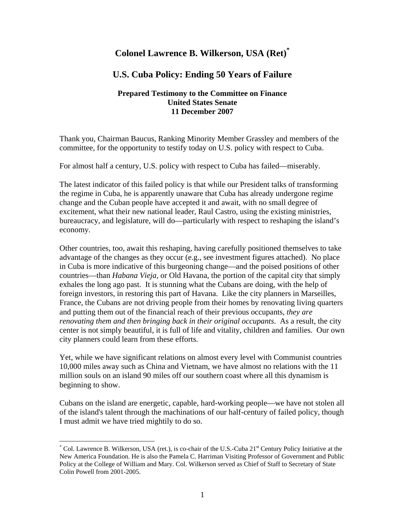# **Colonel Lawrence B. Wilkerson, USA (Ret)\***

# **U.S. Cuba Policy: Ending 50 Years of Failure**

### **Prepared Testimony to the Committee on Finance United States Senate 11 December 2007**

Thank you, Chairman Baucus, Ranking Minority Member Grassley and members of the committee, for the opportunity to testify today on U.S. policy with respect to Cuba.

For almost half a century, U.S. policy with respect to Cuba has failed—miserably.

The latest indicator of this failed policy is that while our President talks of transforming the regime in Cuba, he is apparently unaware that Cuba has already undergone regime change and the Cuban people have accepted it and await, with no small degree of excitement, what their new national leader, Raul Castro, using the existing ministries, bureaucracy, and legislature, will do—particularly with respect to reshaping the island's economy.

Other countries, too, await this reshaping, having carefully positioned themselves to take advantage of the changes as they occur (e.g., see investment figures attached). No place in Cuba is more indicative of this burgeoning change—and the poised positions of other countries—than *Habana Vieja*, or Old Havana, the portion of the capital city that simply exhales the long ago past. It is stunning what the Cubans are doing, with the help of foreign investors, in restoring this part of Havana. Like the city planners in Marseilles, France, the Cubans are not driving people from their homes by renovating living quarters and putting them out of the financial reach of their previous occupants, *they are renovating them and then bringing back in their original occupants*. As a result, the city center is not simply beautiful, it is full of life and vitality, children and families. Our own city planners could learn from these efforts.

Yet, while we have significant relations on almost every level with Communist countries 10,000 miles away such as China and Vietnam, we have almost no relations with the 11 million souls on an island 90 miles off our southern coast where all this dynamism is beginning to show.

Cubans on the island are energetic, capable, hard-working people—we have not stolen all of the island's talent through the machinations of our half-century of failed policy, though I must admit we have tried mightily to do so.

 $\overline{a}$ 

<sup>\*</sup> Col. Lawrence B. Wilkerson, USA (ret.), is co-chair of the U.S.-Cuba 21st Century Policy Initiative at the New America Foundation. He is also the Pamela C. Harriman Visiting Professor of Government and Public Policy at the College of William and Mary. Col. Wilkerson served as Chief of Staff to Secretary of State Colin Powell from 2001-2005.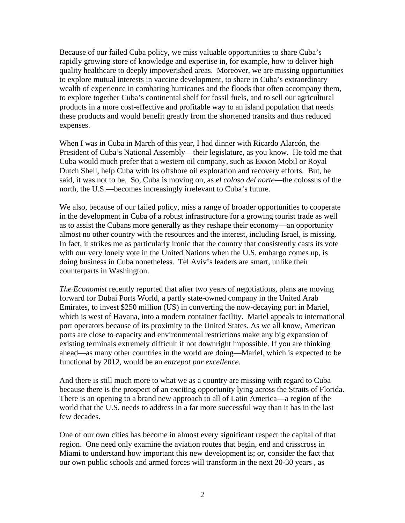Because of our failed Cuba policy, we miss valuable opportunities to share Cuba's rapidly growing store of knowledge and expertise in, for example, how to deliver high quality healthcare to deeply impoverished areas. Moreover, we are missing opportunities to explore mutual interests in vaccine development, to share in Cuba's extraordinary wealth of experience in combating hurricanes and the floods that often accompany them, to explore together Cuba's continental shelf for fossil fuels, and to sell our agricultural products in a more cost-effective and profitable way to an island population that needs these products and would benefit greatly from the shortened transits and thus reduced expenses.

When I was in Cuba in March of this year, I had dinner with Ricardo Alarcón, the President of Cuba's National Assembly—their legislature, as you know. He told me that Cuba would much prefer that a western oil company, such as Exxon Mobil or Royal Dutch Shell, help Cuba with its offshore oil exploration and recovery efforts. But, he said, it was not to be. So, Cuba is moving on, as *el coloso del norte*—the colossus of the north, the U.S.—becomes increasingly irrelevant to Cuba's future.

We also, because of our failed policy, miss a range of broader opportunities to cooperate in the development in Cuba of a robust infrastructure for a growing tourist trade as well as to assist the Cubans more generally as they reshape their economy—an opportunity almost no other country with the resources and the interest, including Israel, is missing. In fact, it strikes me as particularly ironic that the country that consistently casts its vote with our very lonely vote in the United Nations when the U.S. embargo comes up, is doing business in Cuba nonetheless. Tel Aviv's leaders are smart, unlike their counterparts in Washington.

*The Economist* recently reported that after two years of negotiations, plans are moving forward for Dubai Ports World, a partly state-owned company in the United Arab Emirates, to invest \$250 million (US) in converting the now-decaying port in Mariel, which is west of Havana, into a modern container facility. Mariel appeals to international port operators because of its proximity to the United States. As we all know, American ports are close to capacity and environmental restrictions make any big expansion of existing terminals extremely difficult if not downright impossible. If you are thinking ahead—as many other countries in the world are doing—Mariel, which is expected to be functional by 2012, would be an *entrepot par excellence*.

And there is still much more to what we as a country are missing with regard to Cuba because there is the prospect of an exciting opportunity lying across the Straits of Florida. There is an opening to a brand new approach to all of Latin America—a region of the world that the U.S. needs to address in a far more successful way than it has in the last few decades.

One of our own cities has become in almost every significant respect the capital of that region. One need only examine the aviation routes that begin, end and crisscross in Miami to understand how important this new development is; or, consider the fact that our own public schools and armed forces will transform in the next 20-30 years , as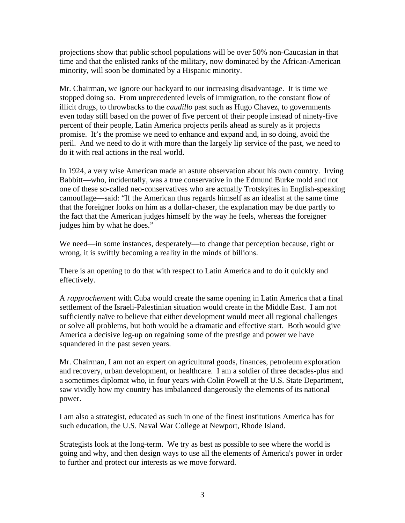projections show that public school populations will be over 50% non-Caucasian in that time and that the enlisted ranks of the military, now dominated by the African-American minority, will soon be dominated by a Hispanic minority.

Mr. Chairman, we ignore our backyard to our increasing disadvantage. It is time we stopped doing so. From unprecedented levels of immigration, to the constant flow of illicit drugs, to throwbacks to the *caudillo* past such as Hugo Chavez, to governments even today still based on the power of five percent of their people instead of ninety-five percent of their people, Latin America projects perils ahead as surely as it projects promise. It's the promise we need to enhance and expand and, in so doing, avoid the peril. And we need to do it with more than the largely lip service of the past, we need to do it with real actions in the real world.

In 1924, a very wise American made an astute observation about his own country. Irving Babbitt—who, incidentally, was a true conservative in the Edmund Burke mold and not one of these so-called neo-conservatives who are actually Trotskyites in English-speaking camouflage—said: "If the American thus regards himself as an idealist at the same time that the foreigner looks on him as a dollar-chaser, the explanation may be due partly to the fact that the American judges himself by the way he feels, whereas the foreigner judges him by what he does."

We need—in some instances, desperately—to change that perception because, right or wrong, it is swiftly becoming a reality in the minds of billions.

There is an opening to do that with respect to Latin America and to do it quickly and effectively.

A *rapprochement* with Cuba would create the same opening in Latin America that a final settlement of the Israeli-Palestinian situation would create in the Middle East. I am not sufficiently naïve to believe that either development would meet all regional challenges or solve all problems, but both would be a dramatic and effective start. Both would give America a decisive leg-up on regaining some of the prestige and power we have squandered in the past seven years.

Mr. Chairman, I am not an expert on agricultural goods, finances, petroleum exploration and recovery, urban development, or healthcare. I am a soldier of three decades-plus and a sometimes diplomat who, in four years with Colin Powell at the U.S. State Department, saw vividly how my country has imbalanced dangerously the elements of its national power.

I am also a strategist, educated as such in one of the finest institutions America has for such education, the U.S. Naval War College at Newport, Rhode Island.

Strategists look at the long-term. We try as best as possible to see where the world is going and why, and then design ways to use all the elements of America's power in order to further and protect our interests as we move forward.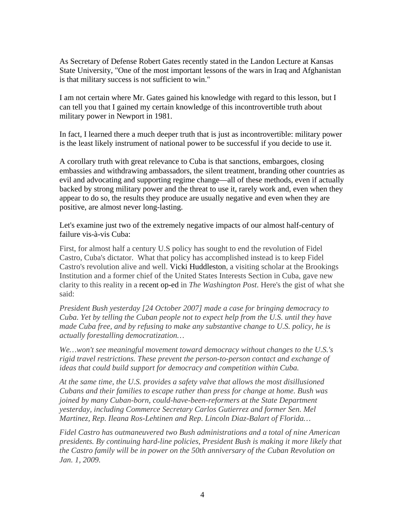As Secretary of Defense Robert Gates recently stated in the Landon Lecture at Kansas State University, "One of the most important lessons of the wars in Iraq and Afghanistan is that military success is not sufficient to win."

I am not certain where Mr. Gates gained his knowledge with regard to this lesson, but I can tell you that I gained my certain knowledge of this incontrovertible truth about military power in Newport in 1981.

In fact, I learned there a much deeper truth that is just as incontrovertible: military power is the least likely instrument of national power to be successful if you decide to use it.

A corollary truth with great relevance to Cuba is that sanctions, embargoes, closing embassies and withdrawing ambassadors, the silent treatment, branding other countries as evil and advocating and supporting regime change—all of these methods, even if actually backed by strong military power and the threat to use it, rarely work and, even when they appear to do so, the results they produce are usually negative and even when they are positive, are almost never long-lasting.

Let's examine just two of the extremely negative impacts of our almost half-century of failure vis-à-vis Cuba:

First, for almost half a century U.S policy has sought to end the revolution of Fidel Castro, Cuba's dictator. What that policy has accomplished instead is to keep Fidel Castro's revolution alive and well. Vicki Huddleston, a visiting scholar at the Brookings Institution and a former chief of the United States Interests Section in Cuba, gave new clarity to this reality in a recent op-ed in *The Washington Post*. Here's the gist of what she said:

*President Bush yesterday [24 October 2007] made a case for bringing democracy to Cuba. Yet by telling the Cuban people not to expect help from the U.S. until they have made Cuba free, and by refusing to make any substantive change to U.S. policy, he is actually forestalling democratization…* 

*We…won't see meaningful movement toward democracy without changes to the U.S.'s rigid travel restrictions. These prevent the person-to-person contact and exchange of ideas that could build support for democracy and competition within Cuba.* 

*At the same time, the U.S. provides a safety valve that allows the most disillusioned Cubans and their families to escape rather than press for change at home. Bush was joined by many Cuban-born, could-have-been-reformers at the State Department yesterday, including Commerce Secretary Carlos Gutierrez and former Sen. Mel Martinez, Rep. Ileana Ros-Lehtinen and Rep. Lincoln Diaz-Balart of Florida…* 

*Fidel Castro has outmaneuvered two Bush administrations and a total of nine American presidents. By continuing hard-line policies, President Bush is making it more likely that the Castro family will be in power on the 50th anniversary of the Cuban Revolution on Jan. 1, 2009.*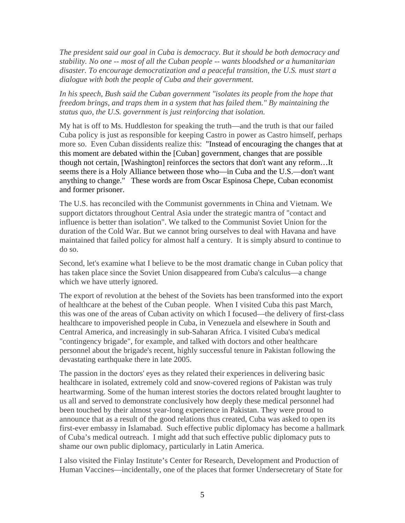*The president said our goal in Cuba is democracy. But it should be both democracy and stability. No one -- most of all the Cuban people -- wants bloodshed or a humanitarian disaster. To encourage democratization and a peaceful transition, the U.S. must start a dialogue with both the people of Cuba and their government.* 

In his speech, Bush said the Cuban government "isolates its people from the hope that *freedom brings, and traps them in a system that has failed them." By maintaining the status quo, the U.S. government is just reinforcing that isolation.*

My hat is off to Ms. Huddleston for speaking the truth—and the truth is that our failed Cuba policy is just as responsible for keeping Castro in power as Castro himself, perhaps more so. Even Cuban dissidents realize this: "Instead of encouraging the changes that at this moment are debated within the [Cuban] government, changes that are possible though not certain, [Washington] reinforces the sectors that don't want any reform…It seems there is a Holy Alliance between those who—in Cuba and the U.S.—don't want anything to change." These words are from Oscar Espinosa Chepe, Cuban economist and former prisoner.

The U.S. has reconciled with the Communist governments in China and Vietnam. We support dictators throughout Central Asia under the strategic mantra of "contact and influence is better than isolation". We talked to the Communist Soviet Union for the duration of the Cold War. But we cannot bring ourselves to deal with Havana and have maintained that failed policy for almost half a century. It is simply absurd to continue to do so.

Second, let's examine what I believe to be the most dramatic change in Cuban policy that has taken place since the Soviet Union disappeared from Cuba's calculus—a change which we have utterly ignored.

The export of revolution at the behest of the Soviets has been transformed into the export of healthcare at the behest of the Cuban people. When I visited Cuba this past March, this was one of the areas of Cuban activity on which I focused—the delivery of first-class healthcare to impoverished people in Cuba, in Venezuela and elsewhere in South and Central America, and increasingly in sub-Saharan Africa. I visited Cuba's medical "contingency brigade", for example, and talked with doctors and other healthcare personnel about the brigade's recent, highly successful tenure in Pakistan following the devastating earthquake there in late 2005.

The passion in the doctors' eyes as they related their experiences in delivering basic healthcare in isolated, extremely cold and snow-covered regions of Pakistan was truly heartwarming. Some of the human interest stories the doctors related brought laughter to us all and served to demonstrate conclusively how deeply these medical personnel had been touched by their almost year-long experience in Pakistan. They were proud to announce that as a result of the good relations thus created, Cuba was asked to open its first-ever embassy in Islamabad. Such effective public diplomacy has become a hallmark of Cuba's medical outreach. I might add that such effective public diplomacy puts to shame our own public diplomacy, particularly in Latin America.

I also visited the Finlay Institute's Center for Research, Development and Production of Human Vaccines—incidentally, one of the places that former Undersecretary of State for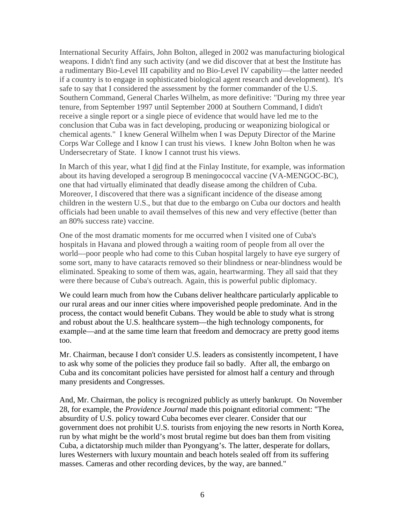International Security Affairs, John Bolton, alleged in 2002 was manufacturing biological weapons. I didn't find any such activity (and we did discover that at best the Institute has a rudimentary Bio-Level III capability and no Bio-Level IV capability—the latter needed if a country is to engage in sophisticated biological agent research and development). It's safe to say that I considered the assessment by the former commander of the U.S. Southern Command, General Charles Wilhelm, as more definitive: "During my three year tenure, from September 1997 until September 2000 at Southern Command, I didn't receive a single report or a single piece of evidence that would have led me to the conclusion that Cuba was in fact developing, producing or weaponizing biological or chemical agents." I knew General Wilhelm when I was Deputy Director of the Marine Corps War College and I know I can trust his views. I knew John Bolton when he was Undersecretary of State. I know I cannot trust his views.

In March of this year, what I did find at the Finlay Institute, for example, was information about its having developed a serogroup B meningococcal vaccine (VA-MENGOC-BC), one that had virtually eliminated that deadly disease among the children of Cuba. Moreover, I discovered that there was a significant incidence of the disease among children in the western U.S., but that due to the embargo on Cuba our doctors and health officials had been unable to avail themselves of this new and very effective (better than an 80% success rate) vaccine.

One of the most dramatic moments for me occurred when I visited one of Cuba's hospitals in Havana and plowed through a waiting room of people from all over the world—poor people who had come to this Cuban hospital largely to have eye surgery of some sort, many to have cataracts removed so their blindness or near-blindness would be eliminated. Speaking to some of them was, again, heartwarming. They all said that they were there because of Cuba's outreach. Again, this is powerful public diplomacy.

We could learn much from how the Cubans deliver healthcare particularly applicable to our rural areas and our inner cities where impoverished people predominate. And in the process, the contact would benefit Cubans. They would be able to study what is strong and robust about the U.S. healthcare system—the high technology components, for example—and at the same time learn that freedom and democracy are pretty good items too.

Mr. Chairman, because I don't consider U.S. leaders as consistently incompetent, I have to ask why some of the policies they produce fail so badly. After all, the embargo on Cuba and its concomitant policies have persisted for almost half a century and through many presidents and Congresses.

And, Mr. Chairman, the policy is recognized publicly as utterly bankrupt. On November 28, for example, the *Providence Journal* made this poignant editorial comment: "The absurdity of U.S. policy toward Cuba becomes ever clearer. Consider that our government does not prohibit U.S. tourists from enjoying the new resorts in North Korea, run by what might be the world's most brutal regime but does ban them from visiting Cuba, a dictatorship much milder than Pyongyang's. The latter, desperate for dollars, lures Westerners with luxury mountain and beach hotels sealed off from its suffering masses. Cameras and other recording devices, by the way, are banned."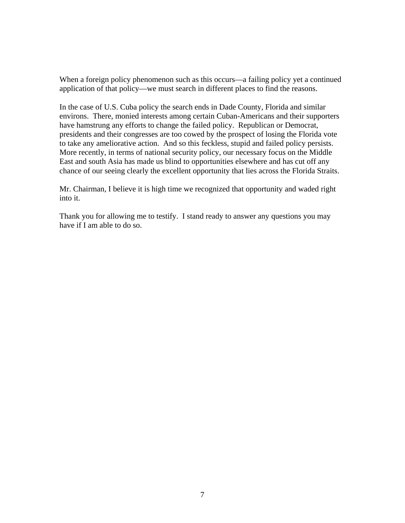When a foreign policy phenomenon such as this occurs—a failing policy yet a continued application of that policy—we must search in different places to find the reasons.

In the case of U.S. Cuba policy the search ends in Dade County, Florida and similar environs. There, monied interests among certain Cuban-Americans and their supporters have hamstrung any efforts to change the failed policy. Republican or Democrat, presidents and their congresses are too cowed by the prospect of losing the Florida vote to take any ameliorative action. And so this feckless, stupid and failed policy persists. More recently, in terms of national security policy, our necessary focus on the Middle East and south Asia has made us blind to opportunities elsewhere and has cut off any chance of our seeing clearly the excellent opportunity that lies across the Florida Straits.

Mr. Chairman, I believe it is high time we recognized that opportunity and waded right into it.

Thank you for allowing me to testify. I stand ready to answer any questions you may have if I am able to do so.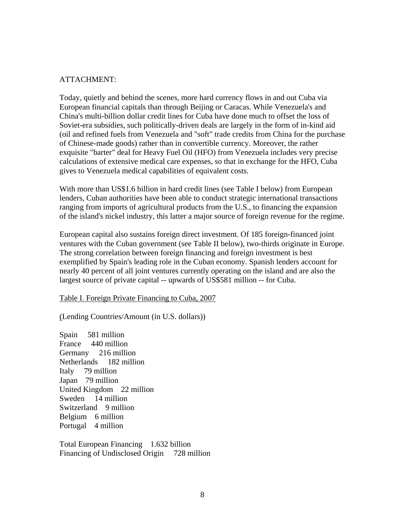#### ATTACHMENT:

Today, quietly and behind the scenes, more hard currency flows in and out Cuba via European financial capitals than through Beijing or Caracas. While Venezuela's and China's multi-billion dollar credit lines for Cuba have done much to offset the loss of Soviet-era subsidies, such politically-driven deals are largely in the form of in-kind aid (oil and refined fuels from Venezuela and "soft" trade credits from China for the purchase of Chinese-made goods) rather than in convertible currency. Moreover, the rather exquisite "barter" deal for Heavy Fuel Oil (HFO) from Venezuela includes very precise calculations of extensive medical care expenses, so that in exchange for the HFO, Cuba gives to Venezuela medical capabilities of equivalent costs.

With more than US\$1.6 billion in hard credit lines (see Table I below) from European lenders, Cuban authorities have been able to conduct strategic international transactions ranging from imports of agricultural products from the U.S., to financing the expansion of the island's nickel industry, this latter a major source of foreign revenue for the regime.

European capital also sustains foreign direct investment. Of 185 foreign-financed joint ventures with the Cuban government (see Table II below), two-thirds originate in Europe. The strong correlation between foreign financing and foreign investment is best exemplified by Spain's leading role in the Cuban economy. Spanish lenders account for nearly 40 percent of all joint ventures currently operating on the island and are also the largest source of private capital -- upwards of US\$581 million -- for Cuba.

Table I. Foreign Private Financing to Cuba, 2007

(Lending Countries/Amount (in U.S. dollars))

Spain 581 million France 440 million Germany 216 million Netherlands 182 million Italy 79 million Japan 79 million United Kingdom 22 million Sweden 14 million Switzerland 9 million Belgium 6 million Portugal 4 million

Total European Financing 1.632 billion Financing of Undisclosed Origin 728 million